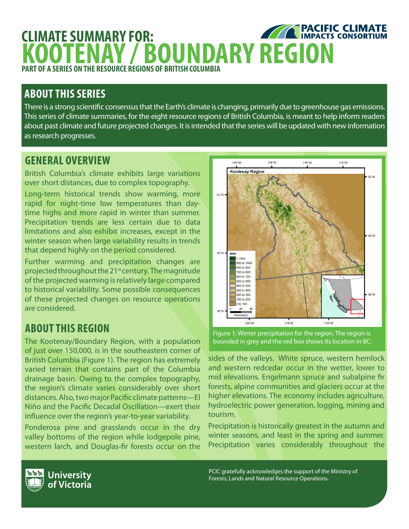### **EXPACIFIC CLIMATE CLIMATE SUMMARY FOR: KOOTENAY / BOUNDARY REGION PART OF A SERIES ON THE RESOURCE REGIONS OF BRITISH COLUMBIA**

# **ABOUT THIS SERIES**

There is a strong scientific consensus that the Earth's climate is changing, primarily due to greenhouse gas emissions. This series of climate summaries, for the eight resource regions of British Columbia, is meant to help inform readers about past climate and future projected changes. It is intended that the series will be updated with new information as research progresses.

## **GENERAL OVERVIEW**

British Columbia's climate exhibits large variations over short distances, due to complex topography.

Long-term historical trends show warming, more rapid for night-time low temperatures than daytime highs and more rapid in winter than summer. Precipitation trends are less certain due to data limitations and also exhibit increases, except in the winter season when large variability results in trends that depend highly on the period considered.

Further warming and precipitation changes are projected throughout the 21<sup>st</sup> century. The magnitude of the projected warming is relatively large compared to historical variability. Some possible consequences of these projected changes on resource operations are considered.

# **ABOUT THIS REGION**

The Kootenay/Boundary Region, with a population of just over 150,000, is in the southeastern corner of British Columbia (Figure 1). The region has extremely varied terrain that contains part of the Columbia drainage basin. Owing to the complex topography, the region's climate varies considerably over short distances. Also, two major Pacific climate patterns—El Niño and the Pacific Decadal Oscillation—exert their influence over the region's year-to-year variability.

Ponderosa pine and grasslands occur in the dry valley bottoms of the region while lodgepole pine, western larch, and Douglas-fir forests occur on the



Figure 1: Winter precipitation for the region. The region is bounded in grey and the red box shows its location in BC.

sides of the valleys. White spruce, western hemlock and western redcedar occur in the wetter, lower to mid elevations. Engelmann spruce and subalpine fir forests, alpine communities and glaciers occur at the higher elevations. The economy includes agriculture, hydroelectric power generation, logging, mining and tourism.

Precipitation is historically greatest in the autumn and winter seasons, and least in the spring and summer. Precipitation varies considerably throughout the

PCIC gratefully acknowledges the support of the Ministry of Forests, Lands and Natural Resource Operations.

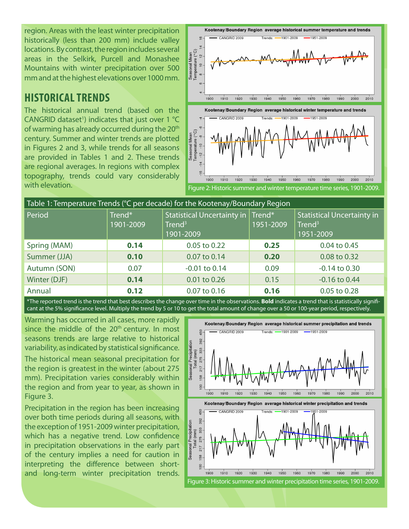region. Areas with the least winter precipitation historically (less than 200 mm) include valley locations. By contrast, the region includes several areas in the Selkirk, Purcell and Monashee Mountains with winter precipitation over 500 mm and at the highest elevations over 1000 mm.

### **HISTORICAL TRENDS**

The historical annual trend (based on the CANGRID dataset<sup>1</sup>) indicates that just over 1  $°C$ of warming has already occurred during the 20<sup>th</sup> century. Summer and winter trends are plotted in Figures 2 and 3, while trends for all seasons are provided in Tables 1 and 2. These trends are regional averages. In regions with complex topography, trends could vary considerably with elevation.



| Table 1: Temperature Trends (°C per decade) for the Kootenay/Boundary Region |                     |                                                                                      |           |                                                                      |  |  |  |
|------------------------------------------------------------------------------|---------------------|--------------------------------------------------------------------------------------|-----------|----------------------------------------------------------------------|--|--|--|
| Period                                                                       | Trend*<br>1901-2009 | Statistical Uncertainty in $ $ Trend <sup>*</sup><br>Trend <sup>3</sup><br>1901-2009 | 1951-2009 | <b>Statistical Uncertainty in</b><br>Trend <sup>3</sup><br>1951-2009 |  |  |  |
| Spring (MAM)                                                                 | 0.14                | 0.05 to 0.22                                                                         | 0.25      | 0.04 to 0.45                                                         |  |  |  |
| Summer (JJA)                                                                 | 0.10                | 0.07 to 0.14                                                                         | 0.20      | 0.08 to 0.32                                                         |  |  |  |
| Autumn (SON)                                                                 | 0.07                | $-0.01$ to $0.14$                                                                    | 0.09      | $-0.14$ to $0.30$                                                    |  |  |  |
| Winter (DJF)                                                                 | 0.14                | 0.01 to 0.26                                                                         | 0.15      | $-0.16$ to 0.44                                                      |  |  |  |
| Annual                                                                       | 0.12                | 0.07 to 0.16                                                                         | 0.16      | 0.05 to 0.28                                                         |  |  |  |

\*The reported trend is the trend that best describes the change over time in the observations. **Bold** indicates a trend that is statistically significant at the 5% significance level. Multiply the trend by 5 or 10 to get the total amount of change over a 50 or 100-year period, respectively.

Warming has occurred in all cases, more rapidly since the middle of the  $20<sup>th</sup>$  century. In most seasons trends are large relative to historical variability, as indicated by statistical significance.

The historical mean seasonal precipitation for the region is greatest in the winter (about 275 mm). Precipitation varies considerably within the region and from year to year, as shown in Figure 3.

Precipitation in the region has been increasing over both time periods during all seasons, with the exception of 1951-2009 winter precipitation, which has a negative trend. Low confidence in precipitation observations in the early part of the century implies a need for caution in interpreting the difference between shortand long-term winter precipitation trends.

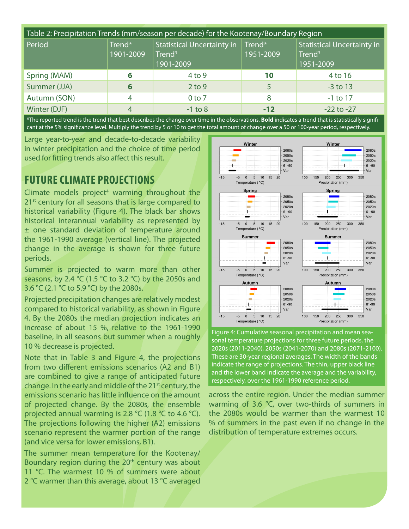| Table 2: Precipitation Trends (mm/season per decade) for the Kootenay/Boundary Region |                     |                                                               |                     |                                                                      |  |  |  |
|---------------------------------------------------------------------------------------|---------------------|---------------------------------------------------------------|---------------------|----------------------------------------------------------------------|--|--|--|
| Period                                                                                | Trend*<br>1901-2009 | Statistical Uncertainty in<br>Trend <sup>3</sup><br>1901-2009 | Trend*<br>1951-2009 | <b>Statistical Uncertainty in</b><br>Trend <sup>3</sup><br>1951-2009 |  |  |  |
| Spring (MAM)                                                                          | 6                   | $4$ to 9                                                      | 10                  | 4 to 16                                                              |  |  |  |
| Summer (JJA)                                                                          | 6                   | $2$ to 9                                                      |                     | $-3$ to 13                                                           |  |  |  |
| Autumn (SON)                                                                          | 4                   | $0$ to $7$                                                    | 8                   | $-1$ to 17                                                           |  |  |  |
| Winter (DJF)                                                                          | 4                   | $-1$ to 8                                                     | $-12$               | $-22$ to $-27$                                                       |  |  |  |

\*The reported trend is the trend that best describes the change over time in the observations. **Bold** indicates a trend that is statistically significant at the 5% significance level. Multiply the trend by 5 or 10 to get the total amount of change over a 50 or 100-year period, respectively.

Large year-to-year and decade-to-decade variability in winter precipitation and the choice of time period used for fitting trends also affect this result.

### **FUTURE CLIMATE PROJECTIONS**

Climate models project<sup>4</sup> warming throughout the 21<sup>st</sup> century for all seasons that is large compared to historical variability (Figure 4). The black bar shows historical interannual variability as represented by ± one standard deviation of temperature around the 1961-1990 average (vertical line). The projected change in the average is shown for three future periods.

Summer is projected to warm more than other seasons, by 2.4  $°C$  (1.5  $°C$  to 3.2  $°C$ ) by the 2050s and 3.6 °C (2.1 °C to 5.9 °C) by the 2080s.

Projected precipitation changes are relatively modest compared to historical variability, as shown in Figure 4. By the 2080s the median projection indicates an increase of about 15 %, relative to the 1961-1990 baseline, in all seasons but summer when a roughly 10 % decrease is projected.

Note that in Table 3 and Figure 4, the projections from two different emissions scenarios (A2 and B1) are combined to give a range of anticipated future change. In the early and middle of the 21<sup>st</sup> century, the emissions scenario has little influence on the amount of projected change. By the 2080s, the ensemble projected annual warming is 2.8 °C (1.8 °C to 4.6 °C). The projections following the higher (A2) emissions scenario represent the warmer portion of the range (and vice versa for lower emissions, B1).

The summer mean temperature for the Kootenay/ Boundary region during the 20<sup>th</sup> century was about 11 °C. The warmest 10 % of summers were about 2 °C warmer than this average, about 13 °C averaged



Figure 4: Cumulative seasonal precipitation and mean seasonal temperature projections for three future periods, the 2020s (2011-2040), 2050s (2041-2070) and 2080s (2071-2100). These are 30-year regional averages. The width of the bands indicate the range of projections. The thin, upper black line and the lower band indicate the average and the variability, respectively, over the 1961-1990 reference period.

across the entire region. Under the median summer warming of 3.6 °C, over two-thirds of summers in the 2080s would be warmer than the warmest 10 % of summers in the past even if no change in the distribution of temperature extremes occurs.